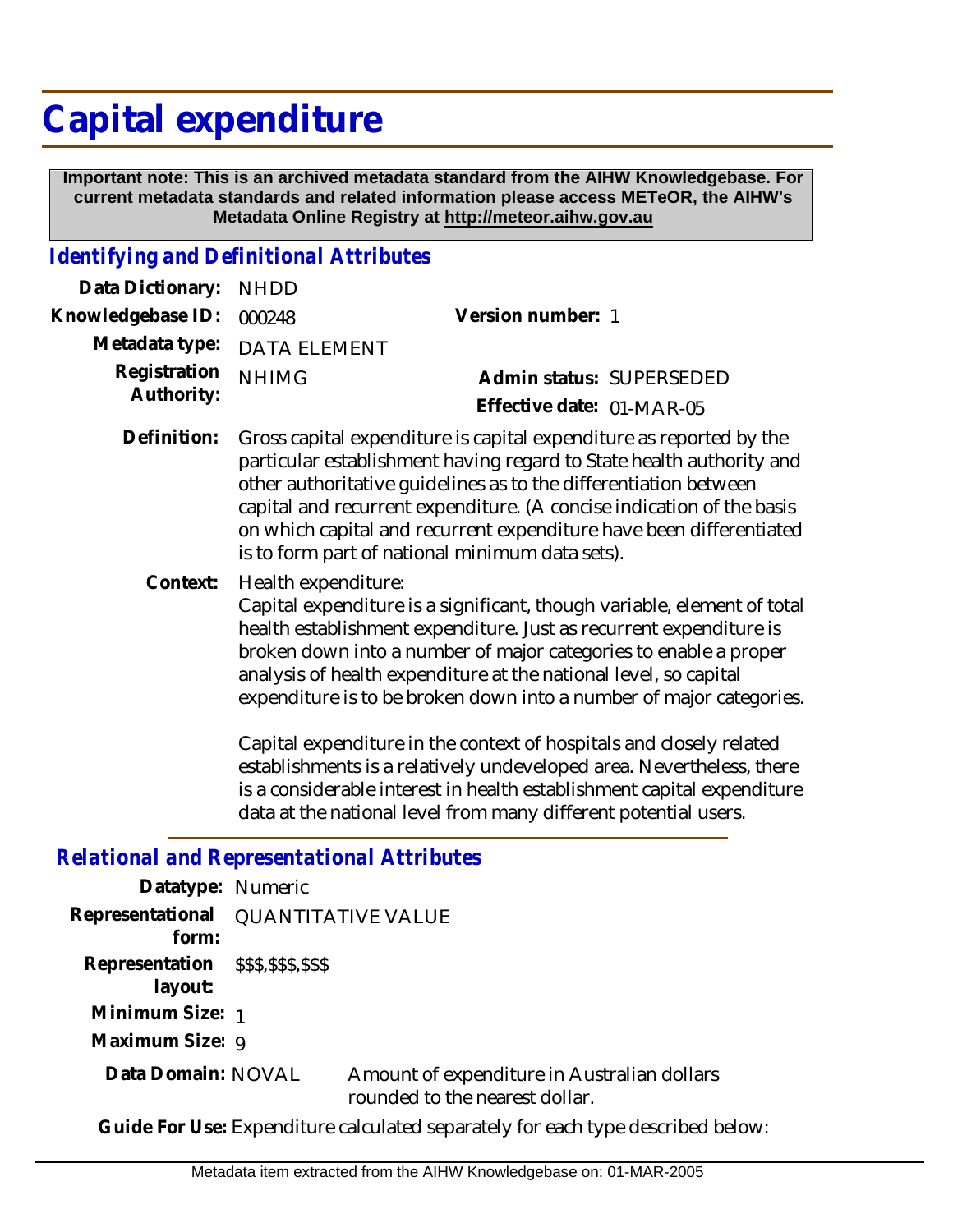# **Capital expenditure**

 **Important note: This is an archived metadata standard from the AIHW Knowledgebase. For current metadata standards and related information please access METeOR, the AIHW's Metadata Online Registry at http://meteor.aihw.gov.au**

## *Identifying and Definitional Attributes*

| Data Dictionary:           | <b>NHDD</b>                                                                                                                                                                                                                                                                                                                                                                                                        |                                                                                                                                                                                                                   |  |
|----------------------------|--------------------------------------------------------------------------------------------------------------------------------------------------------------------------------------------------------------------------------------------------------------------------------------------------------------------------------------------------------------------------------------------------------------------|-------------------------------------------------------------------------------------------------------------------------------------------------------------------------------------------------------------------|--|
| Knowledgebase ID:          | 000248                                                                                                                                                                                                                                                                                                                                                                                                             | Version number: 1                                                                                                                                                                                                 |  |
| Metadata type:             | <b>DATA ELEMENT</b>                                                                                                                                                                                                                                                                                                                                                                                                |                                                                                                                                                                                                                   |  |
| Registration<br>Authority: | <b>NHIMG</b>                                                                                                                                                                                                                                                                                                                                                                                                       | Admin status: SUPERSEDED                                                                                                                                                                                          |  |
|                            |                                                                                                                                                                                                                                                                                                                                                                                                                    | Effective date: 01-MAR-05                                                                                                                                                                                         |  |
| Definition:                | Gross capital expenditure is capital expenditure as reported by the<br>particular establishment having regard to State health authority and<br>other authoritative quidelines as to the differentiation between<br>capital and recurrent expenditure. (A concise indication of the basis<br>on which capital and recurrent expenditure have been differentiated<br>is to form part of national minimum data sets). |                                                                                                                                                                                                                   |  |
| Context:                   | Health expenditure:                                                                                                                                                                                                                                                                                                                                                                                                | Capital expenditure is a significant, though variable, element of total<br>health establishment expenditure. Just as recurrent expenditure is<br>broken down into a number of major categories to enable a proper |  |

Capital expenditure in the context of hospitals and closely related establishments is a relatively undeveloped area. Nevertheless, there is a considerable interest in health establishment capital expenditure data at the national level from many different potential users.

expenditure is to be broken down into a number of major categories.

analysis of health expenditure at the national level, so capital

#### *Relational and Representational Attributes*

| Datatype: Numeric                              |                           |                                                                               |
|------------------------------------------------|---------------------------|-------------------------------------------------------------------------------|
| Representational<br>form:                      | <b>QUANTITATIVE VALUE</b> |                                                                               |
| Representation \$\$\$,\$\$\$,\$\$\$<br>layout: |                           |                                                                               |
| Minimum Size: 1                                |                           |                                                                               |
| Maximum Size: 9                                |                           |                                                                               |
| Data Domain: NOVAL                             |                           | Amount of expenditure in Australian dollars<br>rounded to the nearest dollar. |

**Guide For Use:** Expenditure calculated separately for each type described below: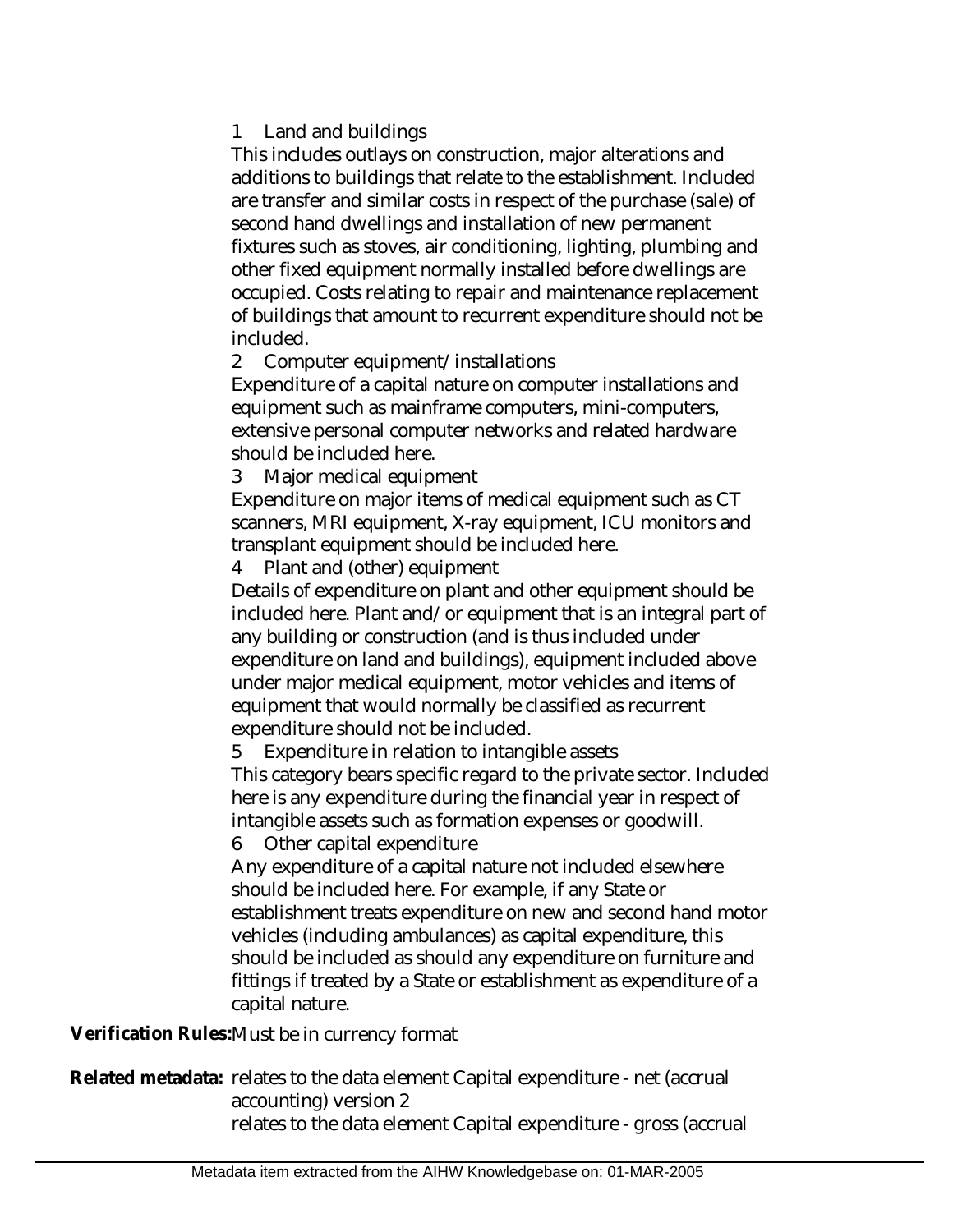#### 1 Land and buildings

This includes outlays on construction, major alterations and additions to buildings that relate to the establishment. Included are transfer and similar costs in respect of the purchase (sale) of second hand dwellings and installation of new permanent fixtures such as stoves, air conditioning, lighting, plumbing and other fixed equipment normally installed before dwellings are occupied. Costs relating to repair and maintenance replacement of buildings that amount to recurrent expenditure should not be included.

2 Computer equipment/installations

Expenditure of a capital nature on computer installations and equipment such as mainframe computers, mini-computers, extensive personal computer networks and related hardware should be included here.

3 Major medical equipment

Expenditure on major items of medical equipment such as CT scanners, MRI equipment, X-ray equipment, ICU monitors and transplant equipment should be included here.

4 Plant and (other) equipment

Details of expenditure on plant and other equipment should be included here. Plant and/or equipment that is an integral part of any building or construction (and is thus included under expenditure on land and buildings), equipment included above under major medical equipment, motor vehicles and items of equipment that would normally be classified as recurrent expenditure should not be included.

5 Expenditure in relation to intangible assets

This category bears specific regard to the private sector. Included here is any expenditure during the financial year in respect of intangible assets such as formation expenses or goodwill.

6 Other capital expenditure

Any expenditure of a capital nature not included elsewhere should be included here. For example, if any State or establishment treats expenditure on new and second hand motor vehicles (including ambulances) as capital expenditure, this should be included as should any expenditure on furniture and fittings if treated by a State or establishment as expenditure of a capital nature.

**Verification Rules:**Must be in currency format

Related metadata: relates to the data element Capital expenditure - net (accrual accounting) version 2 relates to the data element Capital expenditure - gross (accrual